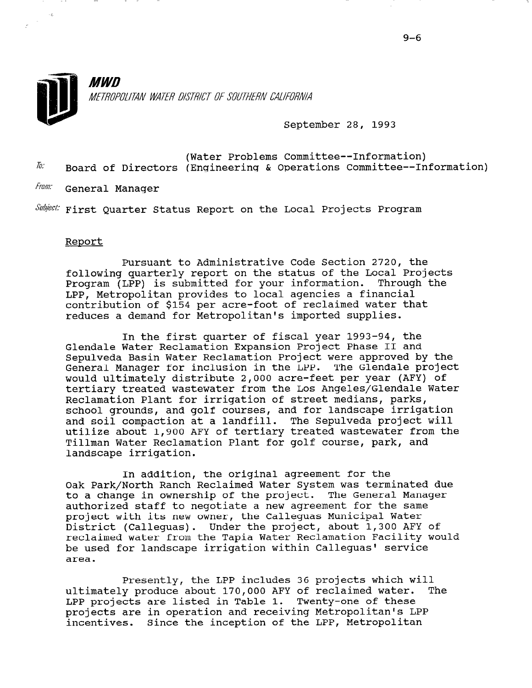

September 28, 1993

(Water Problems Committee--Information)  $I_0$ : Board of Directors (Engineering & Operations Committee--Information)

From: General Manager

 $\textit{Subject:}$  First Quarter Status Report on the Local Projects Program

## Report

 $\sim$ 

Pursuant to Administrative Code Section 2720, the following quarterly report on the status of the Local Projects Program (LPP) is submitted for your information. Through the LPP, Metropolitan provides to local agencies a financial contribution of \$154 per acre-foot of reclaimed water that reduces a demand for Metropolitan's imported supplies.

In the first quarter of fiscal year 1993-94, the Glendale Water Reclamation Expansion Project Phase II and Sepulveda Basin Water Reclamation Project were approved by the General Manager for inclusion in the LPP. The Glendale project would ultimately distribute 2,000 acre-feet per year (AFY) of tertiary treated wastewater from the Los Angeles/Glendale Water Reclamation Plant for irrigation of street medians, parks, school grounds, and golf courses, and for landscape irrigation and soil compaction at a landfill. The Sepulveda project will utilize about 1,900 AFY of tertiary treated wastewater from the Tillman Water Reclamation Plant for golf course, park, and landscape irrigation.

In addition, the original agreement for the Oak Park/North Ranch Reclaimed Water System was terminated due to a change in ownership of the project. The General Manager co a change in ownersing or the project. The sending hand project with its new owner, the Calleguas Municipal Water project with its new owner, the Calleguas Municipal Water<br>District (Calleguas). Under the project, about 1,300 AFY of reclaimed water from the Tapia Water Reclamation Facility would be used for landscape irrigation within Calleguas' service pe u

Presently, the LPP includes 36 projects which will Presently, the LPP includes 36 projects which will ultimately produce about 170,000 AFY of reclaimed water. LPP projects are listed in Table 1. Twenty-one of these projects are in operation and receiving Metropolitan's LPP incentives. Since the inception of the LPP, Metropolitan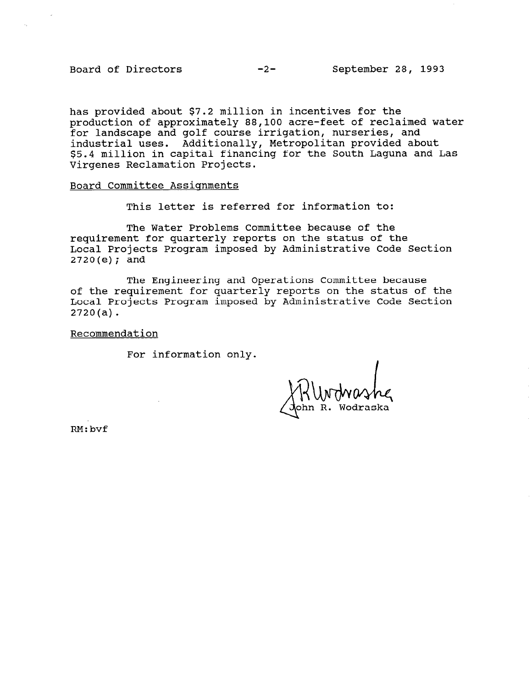has provided about \$7.2 million in incentives for the production of approximately 88,100 acre-feet of reclaimed water for landscape and golf course irrigation, nurseries, and industrial uses. Additionally, Metropolitan provided about \$5.4 million in capital financing for the South Laguna and Las Virgenes Reclamation Projects.

Board Committee Assignments

This letter is referred for information to:

The Water Problems Committee because of the requirement for quarterly reports on the status of the Local Projects Program imposed by Administrative Code Section 2720(e); and

The Engineering and Operations Committee because of the requirement for quarterly reports on the status of the Local Projects Program imposed by Administrative Code Section 2720(a).

Recommendation

For information only.

RM:bvf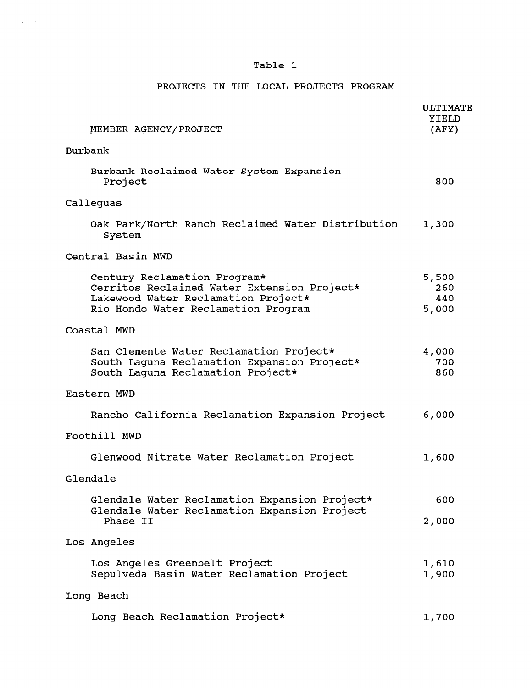## Table 1

## PROJECTS IN THE LOCAL PROJECTS PROGRAM

| MEMBER AGENCY/PROJECT                                                                                                                                     | <b>ULTIMATE</b><br>YIELD<br>(AFY) |
|-----------------------------------------------------------------------------------------------------------------------------------------------------------|-----------------------------------|
| Burbank                                                                                                                                                   |                                   |
| Burbank Reclaimed Water System Expansion<br>Project                                                                                                       | 800                               |
| Calleguas                                                                                                                                                 |                                   |
| Oak Park/North Ranch Reclaimed Water Distribution<br>System                                                                                               | 1,300                             |
| Central Basin MWD                                                                                                                                         |                                   |
| Century Reclamation Program*<br>Cerritos Reclaimed Water Extension Project*<br>Lakewood Water Reclamation Project*<br>Rio Hondo Water Reclamation Program | 5,500<br>260<br>440<br>5,000      |
| Coastal MWD                                                                                                                                               |                                   |
| San Clemente Water Reclamation Project*<br>South Laguna Reclamation Expansion Project*<br>South Laquna Reclamation Project*                               | 4,000<br>700<br>860               |
| Eastern MWD                                                                                                                                               |                                   |
| Rancho California Reclamation Expansion Project                                                                                                           | 6,000                             |
| Foothill MWD                                                                                                                                              |                                   |
| Glenwood Nitrate Water Reclamation Project                                                                                                                | 1,600                             |
| Glendale                                                                                                                                                  |                                   |
| Glendale Water Reclamation Expansion Project*                                                                                                             | 600                               |
| Glendale Water Reclamation Expansion Project<br>Phase II                                                                                                  | 2,000                             |
| Los Angeles                                                                                                                                               |                                   |
| Los Angeles Greenbelt Project<br>Sepulveda Basin Water Reclamation Project                                                                                | 1,610<br>1,900                    |
| Long Beach                                                                                                                                                |                                   |
| Long Beach Reclamation Project*                                                                                                                           | 1,700                             |